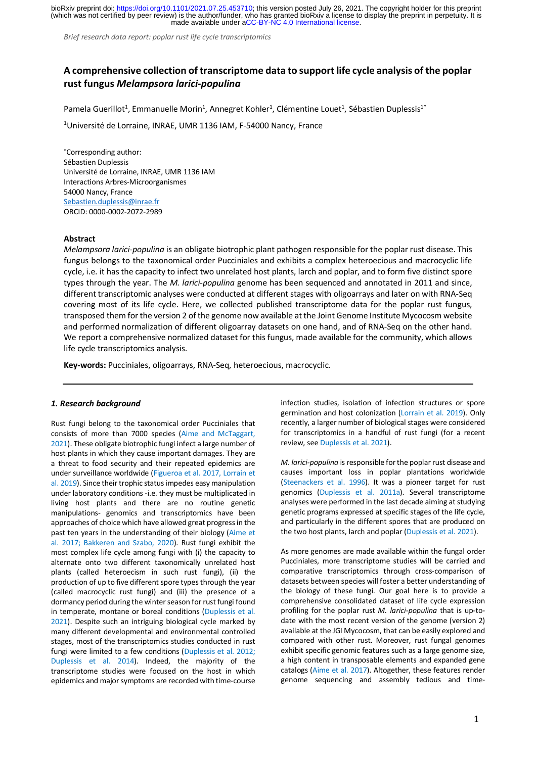made available under [aCC-BY-NC 4.0 International license.](http://creativecommons.org/licenses/by-nc/4.0/) (which was not certified by peer review) is the author/funder, who has granted bioRxiv a license to display the preprint in perpetuity. It is bioRxiv preprint doi: [https://doi.org/10.1101/2021.07.25.453710;](https://doi.org/10.1101/2021.07.25.453710) this version posted July 26, 2021. The copyright holder for this preprint

*Brief research data report: poplar rust life cycle transcriptomics*

# **A comprehensive collection of transcriptome data to support life cycle analysis of the poplar rust fungus** *Melampsora larici-populina*

Pamela Guerillot<sup>1</sup>, Emmanuelle Morin<sup>1</sup>, Annegret Kohler<sup>1</sup>, Clémentine Louet<sup>1</sup>, Sébastien Duplessis<sup>1\*</sup>

<sup>1</sup>Université de Lorraine, INRAE, UMR 1136 IAM, F-54000 Nancy, France

\*Corresponding author: Sébastien Duplessis Université de Lorraine, INRAE, UMR 1136 IAM Interactions Arbres-Microorganismes 54000 Nancy, France Sebastien.duplessis@inrae.fr ORCID: 0000-0002-2072-2989

## **Abstract**

*Melampsora larici-populina* is an obligate biotrophic plant pathogen responsible for the poplar rust disease. This fungus belongs to the taxonomical order Pucciniales and exhibits a complex heteroecious and macrocyclic life cycle, i.e. it has the capacity to infect two unrelated host plants, larch and poplar, and to form five distinct spore types through the year. The *M. larici-populina* genome has been sequenced and annotated in 2011 and since, different transcriptomic analyses were conducted at different stages with oligoarrays and later on with RNA-Seq covering most of its life cycle. Here, we collected published transcriptome data for the poplar rust fungus, transposed them for the version 2 of the genome now available at the Joint Genome Institute Mycocosm website and performed normalization of different oligoarray datasets on one hand, and of RNA-Seq on the other hand. We report a comprehensive normalized dataset for this fungus, made available for the community, which allows life cycle transcriptomics analysis.

**Key-words:** Pucciniales, oligoarrays, RNA-Seq, heteroecious, macrocyclic.

## *1. Research background*

Rust fungi belong to the taxonomical order Pucciniales that consists of more than 7000 species (Aime and McTaggart, 2021). These obligate biotrophic fungi infect a large number of host plants in which they cause important damages. They are a threat to food security and their repeated epidemics are under surveillance worldwide (Figueroa et al. 2017, Lorrain et al. 2019). Since their trophic statusimpedes easy manipulation under laboratory conditions -i.e. they must be multiplicated in living host plants and there are no routine genetic manipulations- genomics and transcriptomics have been approaches of choice which have allowed great progressin the past ten years in the understanding of their biology (Aime et al. 2017; Bakkeren and Szabo, 2020). Rust fungi exhibit the most complex life cycle among fungi with (i) the capacity to alternate onto two different taxonomically unrelated host plants (called heteroecism in such rust fungi), (ii) the production of up to five different spore types through the year (called macrocyclic rust fungi) and (iii) the presence of a dormancy period during the winter season for rust fungi found in temperate, montane or boreal conditions (Duplessis et al. 2021). Despite such an intriguing biological cycle marked by many different developmental and environmental controlled stages, most of the transcriptomics studies conducted in rust fungi were limited to a few conditions (Duplessis et al. 2012; Duplessis et al. 2014). Indeed, the majority of the transcriptome studies were focused on the host in which epidemics and major symptoms are recorded with time-course

infection studies, isolation of infection structures or spore germination and host colonization (Lorrain et al. 2019). Only recently, a larger number of biological stages were considered for transcriptomics in a handful of rust fungi (for a recent review, see Duplessis et al. 2021).

*M. larici-populina* is responsible for the poplar rust disease and causes important loss in poplar plantations worldwide (Steenackers et al. 1996). It was a pioneer target for rust genomics (Duplessis et al. 2011a). Several transcriptome analyses were performed in the last decade aiming at studying genetic programs expressed at specific stages of the life cycle, and particularly in the different spores that are produced on the two host plants, larch and poplar (Duplessis et al. 2021).

As more genomes are made available within the fungal order Pucciniales, more transcriptome studies will be carried and comparative transcriptomics through cross-comparison of datasets between species will foster a better understanding of the biology of these fungi. Our goal here is to provide a comprehensive consolidated dataset of life cycle expression profiling for the poplar rust *M. larici-populina* that is up-todate with the most recent version of the genome (version 2) available at the JGI Mycocosm, that can be easily explored and compared with other rust. Moreover, rust fungal genomes exhibit specific genomic features such as a large genome size, a high content in transposable elements and expanded gene catalogs (Aime et al. 2017). Altogether, these features render genome sequencing and assembly tedious and time-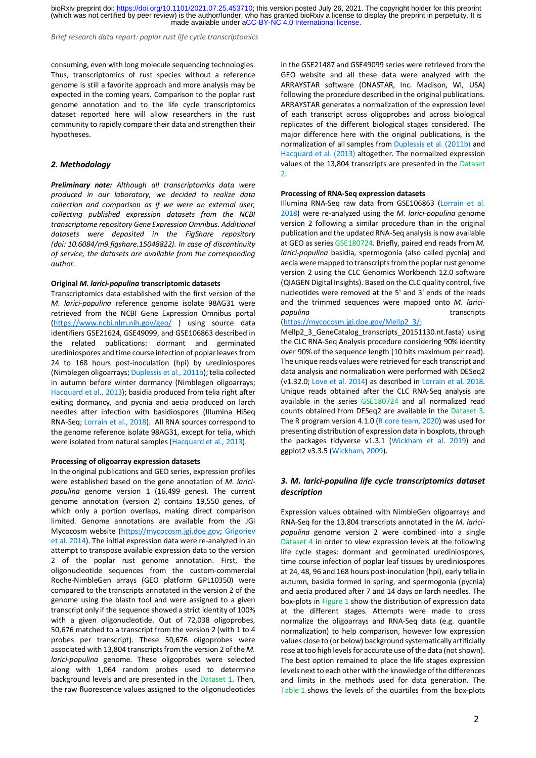made available under [aCC-BY-NC 4.0 International license.](http://creativecommons.org/licenses/by-nc/4.0/) (which was not certified by peer review) is the author/funder, who has granted bioRxiv a license to display the preprint in perpetuity. It is bioRxiv preprint doi: [https://doi.org/10.1101/2021.07.25.453710;](https://doi.org/10.1101/2021.07.25.453710) this version posted July 26, 2021. The copyright holder for this preprint

*Brief research data report: poplar rust life cycle transcriptomics*

consuming, even with long molecule sequencing technologies. Thus, transcriptomics of rust species without a reference genome is still a favorite approach and more analysis may be expected in the coming years. Comparison to the poplar rust genome annotation and to the life cycle transcriptomics dataset reported here will allow researchers in the rust community to rapidly compare their data and strengthen their hypotheses.

# *2. Methodology*

*Preliminary note: Although all transcriptomics data were produced in our laboratory, we decided to realize data collection and comparison as if we were an external user, collecting published expression datasets from the NCBI transcriptome repository Gene Expression Omnibus. Additional datasets were deposited in the FigShare repository (doi: 10.6084/m9.figshare.15048822). In case of discontinuity of service, the datasets are available from the corresponding author.*

# **Original** *M. larici-populina* **transcriptomic datasets**

Transcriptomics data established with the first version of the *M. larici-populina* reference genome isolate 98AG31 were retrieved from the NCBI Gene Expression Omnibus portal (https://www.ncbi.nlm.nih.gov/geo/ ) using source data identifiers GSE21624, GSE49099, and GSE106863 described in the related publications: dormant and germinated urediniospores and time course infection of poplar leaves from 24 to 168 hours post-inoculation (hpi) by urediniospores (Nimblegen oligoarrays; Duplessis et al., 2011b); telia collected in autumn before winter dormancy (Nimblegen oligoarrays; Hacquard et al., 2013); basidia produced from telia right after exiting dormancy, and pycnia and aecia produced on larch needles after infection with basidiospores (Illumina HiSeq RNA-Seq; Lorrain et al., 2018). All RNA sources correspond to the genome reference isolate 98AG31, except for telia, which were isolated from natural samples (Hacquard et al., 2013).

#### **Processing of oligoarray expression datasets**

In the original publications and GEO series, expression profiles were established based on the gene annotation of *M. laricipopulina* genome version 1 (16,499 genes). The current genome annotation (version 2) contains 19,550 genes, of which only a portion overlaps, making direct comparison limited. Genome annotations are available from the JGI Mycocosm website (https://mycocosm.jgi.doe.gov; Grigoriev et al. 2014). The initial expression data were re-analyzed in an attempt to transpose available expression data to the version 2 of the poplar rust genome annotation. First, the oligonucleotide sequences from the custom-commercial Roche-NimbleGen arrays (GEO platform GPL10350) were compared to the transcripts annotated in the version 2 of the genome using the blastn tool and were assigned to a given transcript only if the sequence showed a strict identity of 100% with a given oligonucleotide. Out of 72,038 oligoprobes, 50,676 matched to a transcript from the version 2 (with 1 to 4 probes per transcript). These 50,676 oligoprobes were associated with 13,804 transcripts from the version 2 of the *M. larici-populina* genome. These oligoprobes were selected along with 1,064 random probes used to determine background levels and are presented in the Dataset 1. Then, the raw fluorescence values assigned to the oligonucleotides in the GSE21487 and GSE49099 series were retrieved from the GEO website and all these data were analyzed with the ARRAYSTAR software (DNASTAR, Inc. Madison, WI, USA) following the procedure described in the original publications. ARRAYSTAR generates a normalization of the expression level of each transcript across oligoprobes and across biological replicates of the different biological stages considered. The major difference here with the original publications, is the normalization of all samples from Duplessis et al. (2011b) and Hacquard et al. (2013) altogether. The normalized expression values of the 13,804 transcripts are presented in the Dataset 2.

#### **Processing of RNA-Seq expression datasets**

Illumina RNA-Seq raw data from GSE106863 (Lorrain et al. 2018) were re-analyzed using the *M. larici-populina* genome version 2 following a similar procedure than in the original publication and the updated RNA-Seq analysis is now available at GEO as series GSE180724. Briefly, paired end reads from *M. larici-populina* basidia, spermogonia (also called pycnia) and aecia were mapped to transcripts from the poplar rust genome version 2 using the CLC Genomics Workbench 12.0 software (QIAGEN Digital Insights). Based on the CLC quality control, five nucleotides were removed at the 5' and 3' ends of the reads and the trimmed sequences were mapped onto *M. laricipopulina* transcripts

# (https://mycocosm.jgi.doe.gov/Mellp2\_3/;

Mellp2\_3\_GeneCatalog\_transcripts\_20151130.nt.fasta) using the CLC RNA-Seq Analysis procedure considering 90% identity over 90% of the sequence length (10 hits maximum per read). The unique reads values were retrieved for each transcript and data analysis and normalization were performed with DESeq2 (v1.32.0; Love et al. 2014) as described in Lorrain et al. 2018. Unique reads obtained after the CLC RNA-Seq analysis are available in the series GSE180724 and all normalized read counts obtained from DESeq2 are available in the Dataset 3. The R program version 4.1.0 (R core team, 2020) was used for presenting distribution of expression data in boxplots, through the packages tidyverse v1.3.1 (Wickham et al. 2019) and ggplot2 v3.3.5 (Wickham, 2009).

# *3. M. larici-populina life cycle transcriptomics dataset description*

Expression values obtained with NimbleGen oligoarrays and RNA-Seq for the 13,804 transcripts annotated in the *M. laricipopulina* genome version 2 were combined into a single Dataset 4 in order to view expression levels at the following life cycle stages: dormant and germinated urediniospores, time course infection of poplar leaf tissues by urediniospores at 24, 48, 96 and 168 hours post-inoculation (hpi), early telia in autumn, basidia formed in spring, and spermogonia (pycnia) and aecia produced after 7 and 14 days on larch needles. The box-plots in Figure 1 show the distribution of expression data at the different stages. Attempts were made to cross normalize the oligoarrays and RNA-Seq data (e.g. quantile normalization) to help comparison, however low expression values close to (or below) background systematically artificially rose at too high levels for accurate use of the data (not shown). The best option remained to place the life stages expression levels next to each other with the knowledge of the differences and limits in the methods used for data generation. The Table 1 shows the levels of the quartiles from the box-plots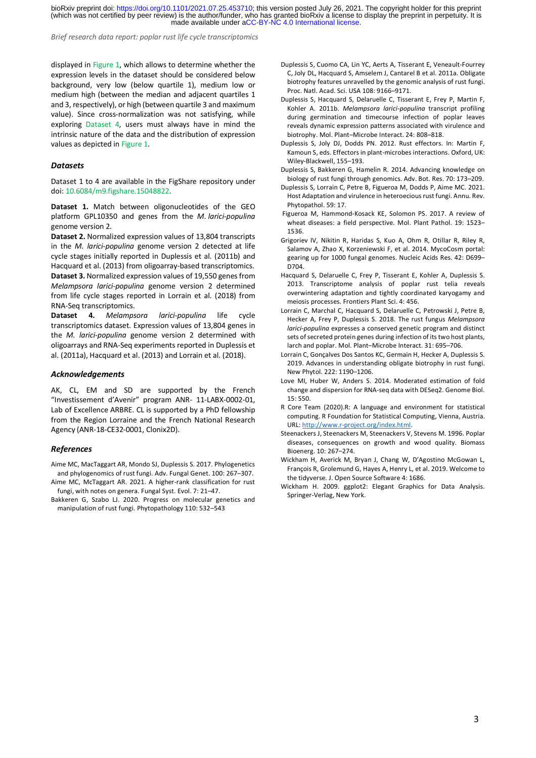made available under [aCC-BY-NC 4.0 International license.](http://creativecommons.org/licenses/by-nc/4.0/) (which was not certified by peer review) is the author/funder, who has granted bioRxiv a license to display the preprint in perpetuity. It is bioRxiv preprint doi: [https://doi.org/10.1101/2021.07.25.453710;](https://doi.org/10.1101/2021.07.25.453710) this version posted July 26, 2021. The copyright holder for this preprint

*Brief research data report: poplar rust life cycle transcriptomics*

displayed in Figure 1, which allows to determine whether the expression levels in the dataset should be considered below background, very low (below quartile 1), medium low or medium high (between the median and adjacent quartiles 1 and 3, respectively), or high (between quartile 3 and maximum value). Since cross-normalization was not satisfying, while exploring Dataset 4, users must always have in mind the intrinsic nature of the data and the distribution of expression values as depicted in Figure 1.

### *Datasets*

Dataset 1 to 4 are available in the FigShare repository under doi: 10.6084/m9.figshare.15048822.

**Dataset 1.** Match between oligonucleotides of the GEO platform GPL10350 and genes from the *M. larici-populina*  genome version 2.

**Dataset 2.** Normalized expression values of 13,804 transcripts in the *M. larici-populina* genome version 2 detected at life cycle stages initially reported in Duplessis et al. (2011b) and Hacquard et al. (2013) from oligoarray-based transcriptomics. **Dataset 3.** Normalized expression values of 19,550 genes from *Melampsora larici-populina* genome version 2 determined from life cycle stages reported in Lorrain et al. (2018) from RNA-Seq transcriptomics.

**Dataset 4.** *Melampsora larici-populina* life cycle transcriptomics dataset. Expression values of 13,804 genes in the *M. larici-populina* genome version 2 determined with oligoarrays and RNA-Seq experiments reported in Duplessis et al. (2011a), Hacquard et al. (2013) and Lorrain et al. (2018).

### *Acknowledgements*

AK, CL, EM and SD are supported by the French "Investissement d'Avenir" program ANR- 11-LABX-0002-01, Lab of Excellence ARBRE. CL is supported by a PhD fellowship from the Region Lorraine and the French National Research Agency (ANR-18-CE32-0001, Clonix2D).

### *References*

Aime MC, MacTaggart AR, Mondo SJ, Duplessis S. 2017. Phylogenetics and phylogenomics of rust fungi. Adv. Fungal Genet. 100: 267–307. Aime MC, McTaggart AR. 2021. A higher-rank classification for rust fungi, with notes on genera. Fungal Syst. Evol. 7: 21–47.

Bakkeren G, Szabo LJ. 2020. Progress on molecular genetics and manipulation of rust fungi. Phytopathology 110: 532–543

- Duplessis S, Cuomo CA, Lin YC, Aerts A, Tisserant E, Veneault-Fourrey C, Joly DL, Hacquard S, Amselem J, Cantarel B et al. 2011a. Obligate biotrophy features unravelled by the genomic analysis of rust fungi. Proc. Natl. Acad. Sci. USA 108: 9166–9171.
- Duplessis S, Hacquard S, Delaruelle C, Tisserant E, Frey P, Martin F, Kohler A. 2011b. *Melampsora larici-populina* transcript profiling during germination and timecourse infection of poplar leaves reveals dynamic expression patterns associated with virulence and biotrophy. Mol. Plant–Microbe Interact. 24: 808–818.
- Duplessis S, Joly DJ, Dodds PN. 2012. Rust effectors. In: Martin F, Kamoun S, eds. Effectors in plant-microbes interactions. Oxford, UK: Wiley-Blackwell, 155–193.
- Duplessis S, Bakkeren G, Hamelin R. 2014. Advancing knowledge on biology of rust fungi through genomics. Adv. Bot. Res. 70: 173–209.
- Duplessis S, Lorrain C, Petre B, Figueroa M, Dodds P, Aime MC. 2021. Host Adaptation and virulence in heteroecious rust fungi. Annu. Rev. Phytopathol. 59: 17.
- Figueroa M, Hammond-Kosack KE, Solomon PS. 2017. A review of wheat diseases: a field perspective. Mol. Plant Pathol. 19: 1523– 1536.
- Grigoriev IV, Nikitin R, Haridas S, Kuo A, Ohm R, Otillar R, Riley R, Salamov A, Zhao X, Korzeniewski F, et al. 2014. MycoCosm portal: gearing up for 1000 fungal genomes. Nucleic Acids Res. 42: D699– D704.
- Hacquard S, Delaruelle C, Frey P, Tisserant E, Kohler A, Duplessis S. 2013. Transcriptome analysis of poplar rust telia reveals overwintering adaptation and tightly coordinated karyogamy and meiosis processes. Frontiers Plant Sci. 4: 456.
- Lorrain C, Marchal C, Hacquard S, Delaruelle C, Petrowski J, Petre B, Hecker A, Frey P, Duplessis S. 2018. The rust fungus *Melampsora larici-populina* expresses a conserved genetic program and distinct sets of secreted protein genes during infection of its two host plants, larch and poplar. Mol. Plant–Microbe Interact. 31: 695–706.
- Lorrain C, Gonçalves Dos Santos KC, Germain H, Hecker A, Duplessis S. 2019. Advances in understanding obligate biotrophy in rust fungi. New Phytol. 222: 1190–1206.
- Love MI, Huber W, Anders S. 2014. Moderated estimation of fold change and dispersion for RNA-seq data with DESeq2. Genome Biol. 15: 550.
- R Core Team (2020).R: A language and environment for statistical computing. R Foundation for Statistical Computing, Vienna, Austria. URL: http://www.r-project.org/index.html.
- Steenackers J, Steenackers M, Steenackers V, Stevens M. 1996. Poplar diseases, consequences on growth and wood quality. Biomass Bioenerg. 10: 267–274.
- Wickham H, Averick M, Bryan J, Chang W, D'Agostino McGowan L, François R, Grolemund G, Hayes A, Henry L, et al. 2019. Welcome to the tidyverse. J. Open Source Software 4: 1686.
- Wickham H. 2009. ggplot2: Elegant Graphics for Data Analysis. Springer-Verlag, New York.